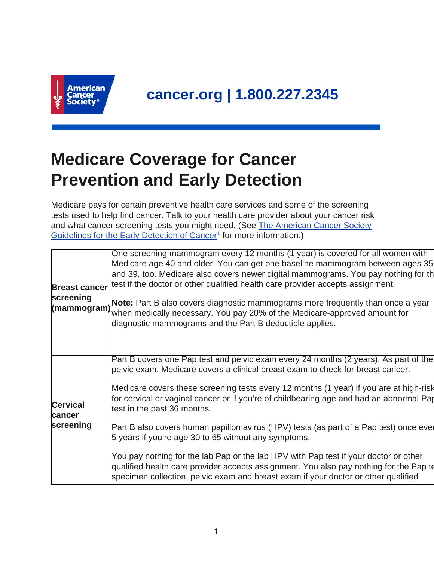

## **Medicare Coverage for Cancer Prevention and Early Detection**

Medicare pays for certain preventive health care services and some of the screening tests used to help find cancer. Talk to your health care provider about your cancer risk and what cancer screening tests you might need. (See [The American Cancer Society](https://www.cancer.org/healthy/find-cancer-early/american-cancer-society-guidelines-for-the-early-detection-of-cancer.html) [Guidelines for the Early Detection of Cancer](https://www.cancer.org/healthy/find-cancer-early/american-cancer-society-guidelines-for-the-early-detection-of-cancer.html)<sup>1</sup> for more information.)

| <b>Breast cancer</b><br>screening      | One screening mammogram every 12 months (1 year) is covered for all women with<br>Medicare age 40 and older. You can get one baseline mammogram between ages 35<br>and 39, too. Medicare also covers newer digital mammograms. You pay nothing for th<br>test if the doctor or other qualified health care provider accepts assignment.<br>The coming<br>(mammogram) Note: Part B also covers diagnostic mammograms more frequently than once a year<br>when medically necessary. You pay 20% of the Medicare-approved amount for<br>diagnostic mammograms and the Part B deductible applies. |
|----------------------------------------|-----------------------------------------------------------------------------------------------------------------------------------------------------------------------------------------------------------------------------------------------------------------------------------------------------------------------------------------------------------------------------------------------------------------------------------------------------------------------------------------------------------------------------------------------------------------------------------------------|
| <b>Cervical</b><br>cancer<br>screening | Part B covers one Pap test and pelvic exam every 24 months (2 years). As part of the<br>pelvic exam, Medicare covers a clinical breast exam to check for breast cancer.                                                                                                                                                                                                                                                                                                                                                                                                                       |
|                                        | Medicare covers these screening tests every 12 months (1 year) if you are at high-risk<br>for cervical or vaginal cancer or if you're of childbearing age and had an abnormal Par<br>test in the past 36 months.                                                                                                                                                                                                                                                                                                                                                                              |
|                                        | Part B also covers human papillomavirus (HPV) tests (as part of a Pap test) once ever<br>5 years if you're age 30 to 65 without any symptoms.                                                                                                                                                                                                                                                                                                                                                                                                                                                 |
|                                        | You pay nothing for the lab Pap or the lab HPV with Pap test if your doctor or other<br>qualified health care provider accepts assignment. You also pay nothing for the Pap to<br>specimen collection, pelvic exam and breast exam if your doctor or other qualified                                                                                                                                                                                                                                                                                                                          |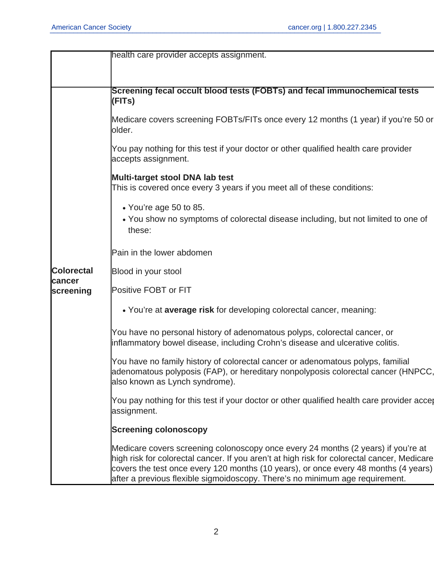|                                          | health care provider accepts assignment.                                                                                                                                                                                                                                                                                                                |
|------------------------------------------|---------------------------------------------------------------------------------------------------------------------------------------------------------------------------------------------------------------------------------------------------------------------------------------------------------------------------------------------------------|
|                                          |                                                                                                                                                                                                                                                                                                                                                         |
|                                          | Screening fecal occult blood tests (FOBTs) and fecal immunochemical tests                                                                                                                                                                                                                                                                               |
| <b>Colorectal</b><br>cancer<br>screening | (FITs)                                                                                                                                                                                                                                                                                                                                                  |
|                                          | Medicare covers screening FOBTs/FITs once every 12 months (1 year) if you're 50 or<br>older.                                                                                                                                                                                                                                                            |
|                                          | You pay nothing for this test if your doctor or other qualified health care provider<br>accepts assignment.                                                                                                                                                                                                                                             |
|                                          | Multi-target stool DNA lab test<br>This is covered once every 3 years if you meet all of these conditions:                                                                                                                                                                                                                                              |
|                                          | • You're age 50 to 85.<br>• You show no symptoms of colorectal disease including, but not limited to one of<br>these:                                                                                                                                                                                                                                   |
|                                          | Pain in the lower abdomen                                                                                                                                                                                                                                                                                                                               |
|                                          | Blood in your stool                                                                                                                                                                                                                                                                                                                                     |
|                                          | Positive FOBT or FIT                                                                                                                                                                                                                                                                                                                                    |
|                                          | • You're at average risk for developing colorectal cancer, meaning:                                                                                                                                                                                                                                                                                     |
|                                          | You have no personal history of adenomatous polyps, colorectal cancer, or<br>inflammatory bowel disease, including Crohn's disease and ulcerative colitis.                                                                                                                                                                                              |
|                                          | You have no family history of colorectal cancer or adenomatous polyps, familial<br>adenomatous polyposis (FAP), or hereditary nonpolyposis colorectal cancer (HNPCC,<br>also known as Lynch syndrome).                                                                                                                                                  |
|                                          | You pay nothing for this test if your doctor or other qualified health care provider accer<br>assignment.                                                                                                                                                                                                                                               |
|                                          | <b>Screening colonoscopy</b>                                                                                                                                                                                                                                                                                                                            |
|                                          | Medicare covers screening colonoscopy once every 24 months (2 years) if you're at<br>high risk for colorectal cancer. If you aren't at high risk for colorectal cancer, Medicare<br>covers the test once every 120 months (10 years), or once every 48 months (4 years)<br>after a previous flexible sigmoidoscopy. There's no minimum age requirement. |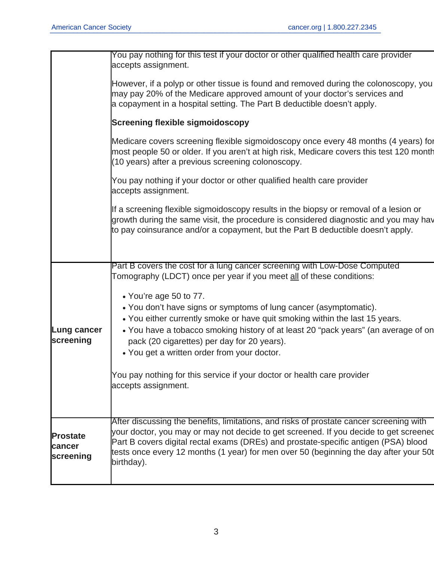|                                        | You pay nothing for this test if your doctor or other qualified health care provider<br>accepts assignment.                                                                                                                                                                                                                                                                    |
|----------------------------------------|--------------------------------------------------------------------------------------------------------------------------------------------------------------------------------------------------------------------------------------------------------------------------------------------------------------------------------------------------------------------------------|
|                                        | However, if a polyp or other tissue is found and removed during the colonoscopy, you<br>may pay 20% of the Medicare approved amount of your doctor's services and<br>a copayment in a hospital setting. The Part B deductible doesn't apply.                                                                                                                                   |
|                                        | <b>Screening flexible sigmoidoscopy</b>                                                                                                                                                                                                                                                                                                                                        |
|                                        | Medicare covers screening flexible sigmoidoscopy once every 48 months (4 years) for<br>most people 50 or older. If you aren't at high risk, Medicare covers this test 120 month<br>(10 years) after a previous screening colonoscopy.                                                                                                                                          |
|                                        | You pay nothing if your doctor or other qualified health care provider<br>accepts assignment.                                                                                                                                                                                                                                                                                  |
|                                        | If a screening flexible sigmoidoscopy results in the biopsy or removal of a lesion or<br>growth during the same visit, the procedure is considered diagnostic and you may hav<br>to pay coinsurance and/or a copayment, but the Part B deductible doesn't apply.                                                                                                               |
|                                        | Part B covers the cost for a lung cancer screening with Low-Dose Computed<br>Tomography (LDCT) once per year if you meet all of these conditions:                                                                                                                                                                                                                              |
| Lung cancer<br>screening               | • You're age 50 to 77.<br>• You don't have signs or symptoms of lung cancer (asymptomatic).<br>• You either currently smoke or have quit smoking within the last 15 years.<br>• You have a tobacco smoking history of at least 20 "pack years" (an average of on<br>pack (20 cigarettes) per day for 20 years).<br>• You get a written order from your doctor.                 |
|                                        | You pay nothing for this service if your doctor or health care provider<br>accepts assignment.                                                                                                                                                                                                                                                                                 |
| <b>Prostate</b><br>cancer<br>screening | After discussing the benefits, limitations, and risks of prostate cancer screening with<br>your doctor, you may or may not decide to get screened. If you decide to get screened<br>Part B covers digital rectal exams (DREs) and prostate-specific antigen (PSA) blood<br>tests once every 12 months (1 year) for men over 50 (beginning the day after your 50t<br>birthday). |
|                                        |                                                                                                                                                                                                                                                                                                                                                                                |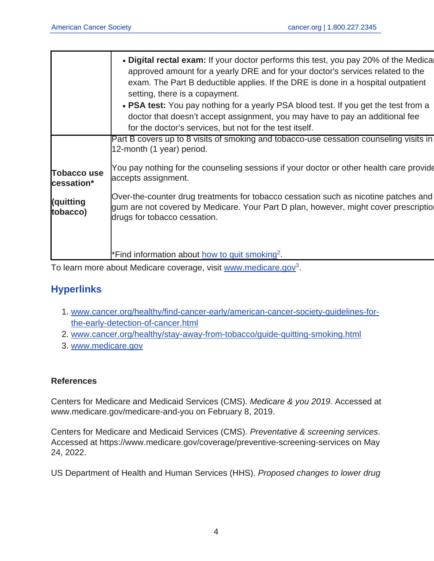|                                  | • Digital rectal exam: If your doctor performs this test, you pay 20% of the Medical<br>approved amount for a yearly DRE and for your doctor's services related to the<br>exam. The Part B deductible applies. If the DRE is done in a hospital outpatient<br>setting, there is a copayment.<br>• PSA test: You pay nothing for a yearly PSA blood test. If you get the test from a<br>doctor that doesn't accept assignment, you may have to pay an additional fee<br>for the doctor's services, but not for the test itself. |
|----------------------------------|--------------------------------------------------------------------------------------------------------------------------------------------------------------------------------------------------------------------------------------------------------------------------------------------------------------------------------------------------------------------------------------------------------------------------------------------------------------------------------------------------------------------------------|
|                                  | Part B covers up to 8 visits of smoking and tobacco-use cessation counseling visits in<br>12-month (1 year) period.                                                                                                                                                                                                                                                                                                                                                                                                            |
| <b>Tobacco use</b><br>cessation* | You pay nothing for the counseling sessions if your doctor or other health care provide<br>accepts assignment.                                                                                                                                                                                                                                                                                                                                                                                                                 |
| (quitting<br>tobacco)            | Over-the-counter drug treatments for tobacco cessation such as nicotine patches and<br>gum are not covered by Medicare. Your Part D plan, however, might cover prescriptio<br>drugs for tobacco cessation.                                                                                                                                                                                                                                                                                                                     |
|                                  |                                                                                                                                                                                                                                                                                                                                                                                                                                                                                                                                |
|                                  | *Find information about how to quit smoking <sup>2</sup> .                                                                                                                                                                                                                                                                                                                                                                                                                                                                     |

To learn more about Medicare coverage, visit [www.medicare.gov](https://www.medicare.gov)<sup>3</sup>.

## **Hyperlinks**

- 1. [www.cancer.org/healthy/find-cancer-early/american-cancer-society-guidelines-for](https://www.cancer.org/healthy/find-cancer-early/american-cancer-society-guidelines-for-the-early-detection-of-cancer.html)[the-early-detection-of-cancer.html](https://www.cancer.org/healthy/find-cancer-early/american-cancer-society-guidelines-for-the-early-detection-of-cancer.html)
- 2. [www.cancer.org/healthy/stay-away-from-tobacco/guide-quitting-smoking.html](https://www.cancer.org/healthy/stay-away-from-tobacco/guide-quitting-smoking.html)
- 3. [www.medicare.gov](https://www.medicare.gov)

## **References**

Centers for Medicare and Medicaid Services (CMS). Medicare & you 2019. Accessed at www.medicare.gov/medicare-and-you on February 8, 2019.

Centers for Medicare and Medicaid Services (CMS). Preventative & screening services. Accessed at https://www.medicare.gov/coverage/preventive-screening-services on May 24, 2022.

US Department of Health and Human Services (HHS). Proposed changes to lower drug